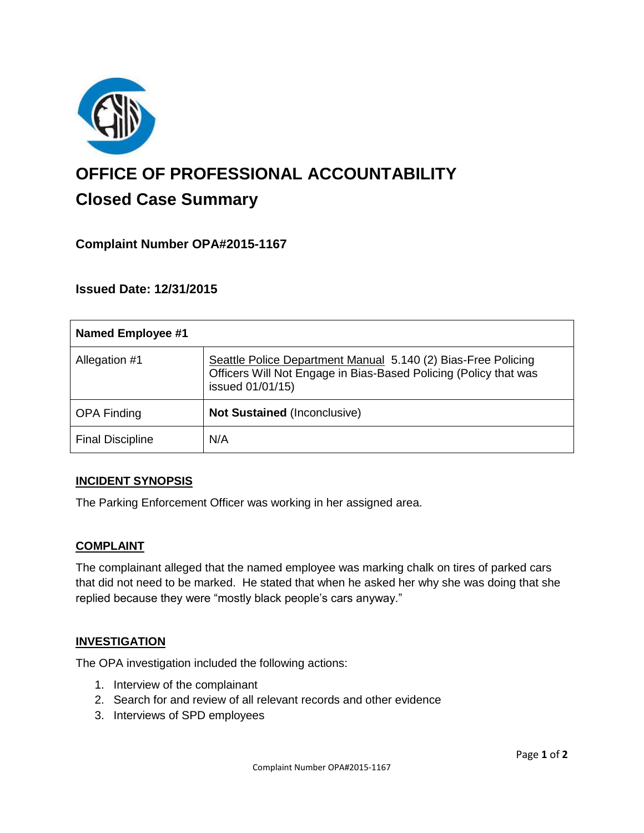

# **OFFICE OF PROFESSIONAL ACCOUNTABILITY Closed Case Summary**

## **Complaint Number OPA#2015-1167**

**Issued Date: 12/31/2015**

| <b>Named Employee #1</b> |                                                                                                                                                       |
|--------------------------|-------------------------------------------------------------------------------------------------------------------------------------------------------|
| Allegation #1            | Seattle Police Department Manual 5.140 (2) Bias-Free Policing<br>Officers Will Not Engage in Bias-Based Policing (Policy that was<br>issued 01/01/15) |
| <b>OPA Finding</b>       | <b>Not Sustained (Inconclusive)</b>                                                                                                                   |
| <b>Final Discipline</b>  | N/A                                                                                                                                                   |

#### **INCIDENT SYNOPSIS**

The Parking Enforcement Officer was working in her assigned area.

#### **COMPLAINT**

The complainant alleged that the named employee was marking chalk on tires of parked cars that did not need to be marked. He stated that when he asked her why she was doing that she replied because they were "mostly black people's cars anyway."

#### **INVESTIGATION**

The OPA investigation included the following actions:

- 1. Interview of the complainant
- 2. Search for and review of all relevant records and other evidence
- 3. Interviews of SPD employees